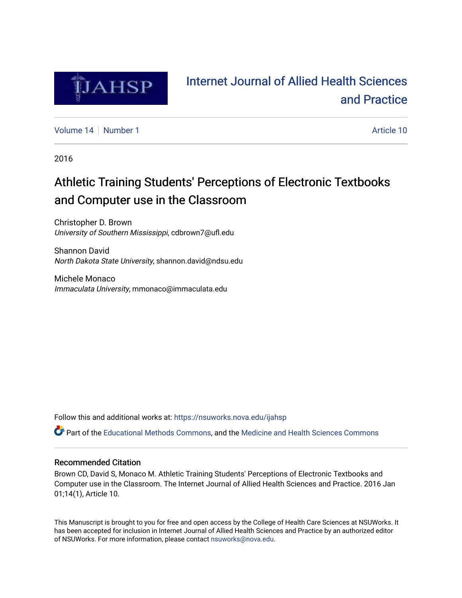

# [Internet Journal of Allied Health Sciences](https://nsuworks.nova.edu/ijahsp)  [and Practice](https://nsuworks.nova.edu/ijahsp)

[Volume 14](https://nsuworks.nova.edu/ijahsp/vol14) | [Number 1](https://nsuworks.nova.edu/ijahsp/vol14/iss1) Article 10

2016

# Athletic Training Students' Perceptions of Electronic Textbooks and Computer use in the Classroom

Christopher D. Brown University of Southern Mississippi, cdbrown7@ufl.edu

Shannon David North Dakota State University, shannon.david@ndsu.edu

Michele Monaco Immaculata University, mmonaco@immaculata.edu

Follow this and additional works at: [https://nsuworks.nova.edu/ijahsp](https://nsuworks.nova.edu/ijahsp?utm_source=nsuworks.nova.edu%2Fijahsp%2Fvol14%2Fiss1%2F10&utm_medium=PDF&utm_campaign=PDFCoverPages) 

Part of the [Educational Methods Commons,](http://network.bepress.com/hgg/discipline/1227?utm_source=nsuworks.nova.edu%2Fijahsp%2Fvol14%2Fiss1%2F10&utm_medium=PDF&utm_campaign=PDFCoverPages) and the [Medicine and Health Sciences Commons](http://network.bepress.com/hgg/discipline/648?utm_source=nsuworks.nova.edu%2Fijahsp%2Fvol14%2Fiss1%2F10&utm_medium=PDF&utm_campaign=PDFCoverPages)

### Recommended Citation

Brown CD, David S, Monaco M. Athletic Training Students' Perceptions of Electronic Textbooks and Computer use in the Classroom. The Internet Journal of Allied Health Sciences and Practice. 2016 Jan 01;14(1), Article 10.

This Manuscript is brought to you for free and open access by the College of Health Care Sciences at NSUWorks. It has been accepted for inclusion in Internet Journal of Allied Health Sciences and Practice by an authorized editor of NSUWorks. For more information, please contact [nsuworks@nova.edu.](mailto:nsuworks@nova.edu)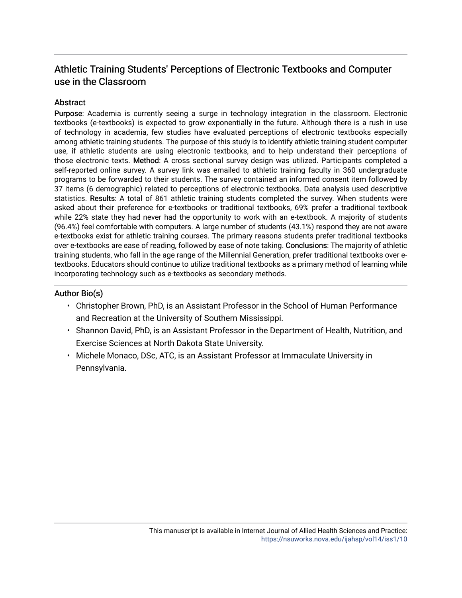## Athletic Training Students' Perceptions of Electronic Textbooks and Computer use in the Classroom

## **Abstract**

Purpose: Academia is currently seeing a surge in technology integration in the classroom. Electronic textbooks (e-textbooks) is expected to grow exponentially in the future. Although there is a rush in use of technology in academia, few studies have evaluated perceptions of electronic textbooks especially among athletic training students. The purpose of this study is to identify athletic training student computer use, if athletic students are using electronic textbooks, and to help understand their perceptions of those electronic texts. Method: A cross sectional survey design was utilized. Participants completed a self-reported online survey. A survey link was emailed to athletic training faculty in 360 undergraduate programs to be forwarded to their students. The survey contained an informed consent item followed by 37 items (6 demographic) related to perceptions of electronic textbooks. Data analysis used descriptive statistics. Results: A total of 861 athletic training students completed the survey. When students were asked about their preference for e-textbooks or traditional textbooks, 69% prefer a traditional textbook while 22% state they had never had the opportunity to work with an e-textbook. A majority of students (96.4%) feel comfortable with computers. A large number of students (43.1%) respond they are not aware e-textbooks exist for athletic training courses. The primary reasons students prefer traditional textbooks over e-textbooks are ease of reading, followed by ease of note taking. Conclusions: The majority of athletic training students, who fall in the age range of the Millennial Generation, prefer traditional textbooks over etextbooks. Educators should continue to utilize traditional textbooks as a primary method of learning while incorporating technology such as e-textbooks as secondary methods.

## Author Bio(s)

- Christopher Brown, PhD, is an Assistant Professor in the School of Human Performance and Recreation at the University of Southern Mississippi.
- Shannon David, PhD, is an Assistant Professor in the Department of Health, Nutrition, and Exercise Sciences at North Dakota State University.
- Michele Monaco, DSc, ATC, is an Assistant Professor at Immaculate University in Pennsylvania.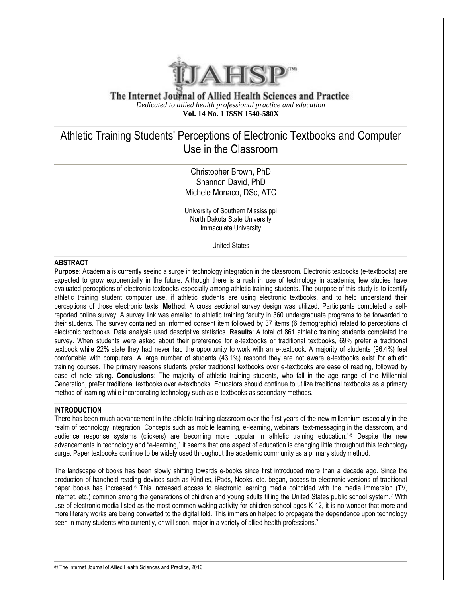

The Internet Journal of Allied Health Sciences and Practice *Dedicated to allied health professional practice and education* **Vol. 14 No. 1 ISSN 1540-580X**

## Athletic Training Students' Perceptions of Electronic Textbooks and Computer Use in the Classroom

Christopher Brown, PhD Shannon David, PhD Michele Monaco, DSc, ATC

University of Southern Mississippi North Dakota State University Immaculata University

United States

#### **ABSTRACT**

**Purpose**: Academia is currently seeing a surge in technology integration in the classroom. Electronic textbooks (e-textbooks) are expected to grow exponentially in the future. Although there is a rush in use of technology in academia, few studies have evaluated perceptions of electronic textbooks especially among athletic training students. The purpose of this study is to identify athletic training student computer use, if athletic students are using electronic textbooks, and to help understand their perceptions of those electronic texts. **Method**: A cross sectional survey design was utilized. Participants completed a selfreported online survey. A survey link was emailed to athletic training faculty in 360 undergraduate programs to be forwarded to their students. The survey contained an informed consent item followed by 37 items (6 demographic) related to perceptions of electronic textbooks. Data analysis used descriptive statistics. **Results**: A total of 861 athletic training students completed the survey. When students were asked about their preference for e-textbooks or traditional textbooks, 69% prefer a traditional textbook while 22% state they had never had the opportunity to work with an e-textbook. A majority of students (96.4%) feel comfortable with computers. A large number of students (43.1%) respond they are not aware e-textbooks exist for athletic training courses. The primary reasons students prefer traditional textbooks over e-textbooks are ease of reading, followed by ease of note taking. **Conclusions**: The majority of athletic training students, who fall in the age range of the Millennial Generation, prefer traditional textbooks over e-textbooks. Educators should continue to utilize traditional textbooks as a primary method of learning while incorporating technology such as e-textbooks as secondary methods.

#### **INTRODUCTION**

There has been much advancement in the athletic training classroom over the first years of the new millennium especially in the realm of technology integration. Concepts such as mobile learning, e-learning, webinars, text-messaging in the classroom, and audience response systems (clickers) are becoming more popular in athletic training education.1-5 Despite the new advancements in technology and "e-learning," it seems that one aspect of education is changing little throughout this technology surge. Paper textbooks continue to be widely used throughout the academic community as a primary study method.

The landscape of books has been slowly shifting towards e-books since first introduced more than a decade ago. Since the production of handheld reading devices such as Kindles, iPads, Nooks, etc. began, access to electronic versions of traditional paper books has increased.<sup>6</sup> This increased access to electronic learning media coincided with the media immersion (TV, internet, etc.) common among the generations of children and young adults filling the United States public school system.<sup>7</sup> With use of electronic media listed as the most common waking activity for children school ages K-12, it is no wonder that more and more literary works are being converted to the digital fold. This immersion helped to propagate the dependence upon technology seen in many students who currently, or will soon, major in a variety of allied health professions.<sup>7</sup>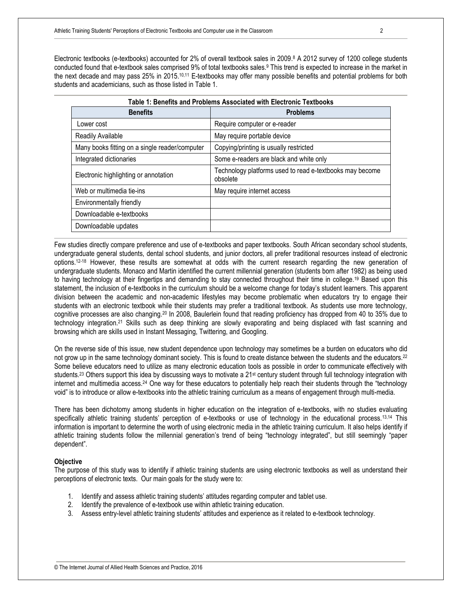Electronic textbooks (e-textbooks) accounted for 2% of overall textbook sales in 2009. <sup>8</sup> A 2012 survey of 1200 college students conducted found that e-textbook sales comprised 9% of total textbooks sales.<sup>9</sup> This trend is expected to increase in the market in the next decade and may pass 25% in 2015.<sup>10,11</sup> E-textbooks may offer many possible benefits and potential problems for both students and academicians, such as those listed in Table 1.

**Table 1: Benefits and Problems Associated with Electronic Textbooks**

| <b>Benefits</b>                                | <b>Problems</b>                                                      |
|------------------------------------------------|----------------------------------------------------------------------|
| Lower cost                                     | Require computer or e-reader                                         |
| Readily Available                              | May require portable device                                          |
| Many books fitting on a single reader/computer | Copying/printing is usually restricted                               |
| Integrated dictionaries                        | Some e-readers are black and white only                              |
| Electronic highlighting or annotation          | Technology platforms used to read e-textbooks may become<br>obsolete |
| Web or multimedia tie-ins                      | May require internet access                                          |
| Environmentally friendly                       |                                                                      |
| Downloadable e-textbooks                       |                                                                      |
| Downloadable updates                           |                                                                      |

### Few studies directly compare preference and use of e-textbooks and paper textbooks. South African secondary school students, undergraduate general students, dental school students, and junior doctors, all prefer traditional resources instead of electronic options.12-18 However, these results are somewhat at odds with the current research regarding the new generation of undergraduate students. Monaco and Martin identified the current millennial generation (students born after 1982) as being used to having technology at their fingertips and demanding to stay connected throughout their time in college.<sup>19</sup> Based upon this statement, the inclusion of e-textbooks in the curriculum should be a welcome change for today's student learners. This apparent division between the academic and non-academic lifestyles may become problematic when educators try to engage their students with an electronic textbook while their students may prefer a traditional textbook. As students use more technology, cognitive processes are also changing.<sup>20</sup> In 2008, Baulerlein found that reading proficiency has dropped from 40 to 35% due to technology integration.<sup>21</sup> Skills such as deep thinking are slowly evaporating and being displaced with fast scanning and browsing which are skills used in Instant Messaging, Twittering, and Googling.

On the reverse side of this issue, new student dependence upon technology may sometimes be a burden on educators who did not grow up in the same technology dominant society. This is found to create distance between the students and the educators.<sup>22</sup> Some believe educators need to utilize as many electronic education tools as possible in order to communicate effectively with students.<sup>23</sup> Others support this idea by discussing ways to motivate a 21<sup>st</sup> century student through full technology integration with internet and multimedia access.<sup>24</sup> One way for these educators to potentially help reach their students through the "technology void" is to introduce or allow e-textbooks into the athletic training curriculum as a means of engagement through multi-media.

There has been dichotomy among students in higher education on the integration of e-textbooks, with no studies evaluating specifically athletic training students' perception of e-textbooks or use of technology in the educational process.<sup>13,14</sup> This information is important to determine the worth of using electronic media in the athletic training curriculum. It also helps identify if athletic training students follow the millennial generation's trend of being "technology integrated", but still seemingly "paper dependent".

#### **Objective**

The purpose of this study was to identify if athletic training students are using electronic textbooks as well as understand their perceptions of electronic texts. Our main goals for the study were to:

- 1. Identify and assess athletic training students' attitudes regarding computer and tablet use.
- 2. Identify the prevalence of e-textbook use within athletic training education.
- 3. Assess entry-level athletic training students' attitudes and experience as it related to e-textbook technology.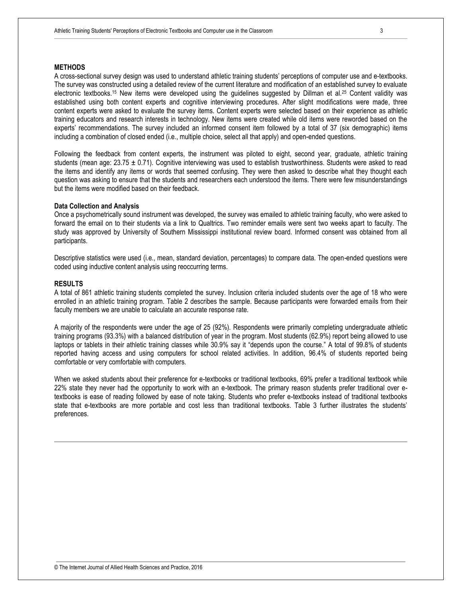#### **METHODS**

A cross-sectional survey design was used to understand athletic training students' perceptions of computer use and e-textbooks. The survey was constructed using a detailed review of the current literature and modification of an established survey to evaluate electronic textbooks.<sup>15</sup> New items were developed using the guidelines suggested by Dillman et al.<sup>25</sup> Content validity was established using both content experts and cognitive interviewing procedures. After slight modifications were made, three content experts were asked to evaluate the survey items. Content experts were selected based on their experience as athletic training educators and research interests in technology. New items were created while old items were reworded based on the experts' recommendations. The survey included an informed consent item followed by a total of 37 (six demographic) items including a combination of closed ended (i.e., multiple choice, select all that apply) and open-ended questions.

Following the feedback from content experts, the instrument was piloted to eight, second year, graduate, athletic training students (mean age:  $23.75 \pm 0.71$ ). Cognitive interviewing was used to establish trustworthiness. Students were asked to read the items and identify any items or words that seemed confusing. They were then asked to describe what they thought each question was asking to ensure that the students and researchers each understood the items. There were few misunderstandings but the items were modified based on their feedback.

#### **Data Collection and Analysis**

Once a psychometrically sound instrument was developed, the survey was emailed to athletic training faculty, who were asked to forward the email on to their students via a link to Qualtrics. Two reminder emails were sent two weeks apart to faculty. The study was approved by University of Southern Mississippi institutional review board. Informed consent was obtained from all participants.

Descriptive statistics were used (i.e., mean, standard deviation, percentages) to compare data. The open-ended questions were coded using inductive content analysis using reoccurring terms.

#### **RESULTS**

A total of 861 athletic training students completed the survey. Inclusion criteria included students over the age of 18 who were enrolled in an athletic training program. Table 2 describes the sample. Because participants were forwarded emails from their faculty members we are unable to calculate an accurate response rate.

A majority of the respondents were under the age of 25 (92%). Respondents were primarily completing undergraduate athletic training programs (93.3%) with a balanced distribution of year in the program. Most students (62.9%) report being allowed to use laptops or tablets in their athletic training classes while 30.9% say it "depends upon the course." A total of 99.8% of students reported having access and using computers for school related activities. In addition, 96.4% of students reported being comfortable or very comfortable with computers.

When we asked students about their preference for e-textbooks or traditional textbooks, 69% prefer a traditional textbook while 22% state they never had the opportunity to work with an e-textbook. The primary reason students prefer traditional over etextbooks is ease of reading followed by ease of note taking. Students who prefer e-textbooks instead of traditional textbooks state that e-textbooks are more portable and cost less than traditional textbooks. Table 3 further illustrates the students' preferences.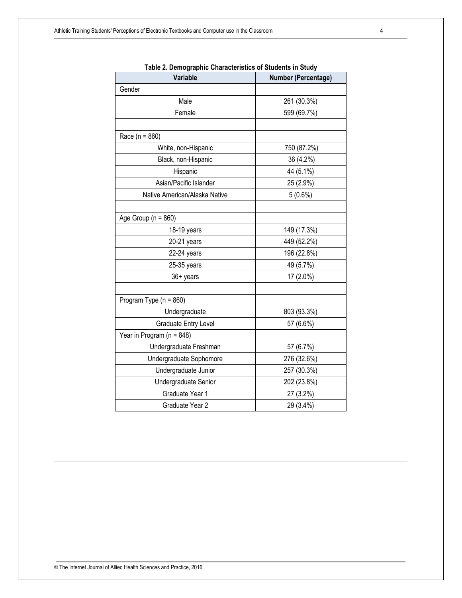| rable 2. Demographic Gharacteristics or Students in Study |                     |
|-----------------------------------------------------------|---------------------|
| Variable                                                  | Number (Percentage) |
| Gender                                                    |                     |
| Male                                                      | 261 (30.3%)         |
| Female                                                    | 599 (69.7%)         |
|                                                           |                     |
| Race ( $n = 860$ )                                        |                     |
| White, non-Hispanic                                       | 750 (87.2%)         |
| Black, non-Hispanic                                       | 36 (4.2%)           |
| Hispanic                                                  | 44 (5.1%)           |
| Asian/Pacific Islander                                    | 25 (2.9%)           |
| Native American/Alaska Native                             | 5(0.6%)             |
|                                                           |                     |
| Age Group ( $n = 860$ )                                   |                     |
| 18-19 years                                               | 149 (17.3%)         |
| 20-21 years                                               | 449 (52.2%)         |
| 22-24 years                                               | 196 (22.8%)         |
| 25-35 years                                               | 49 (5.7%)           |
| 36+ years                                                 | 17 (2.0%)           |
|                                                           |                     |
| Program Type ( $n = 860$ )                                |                     |
| Undergraduate                                             | 803 (93.3%)         |
| Graduate Entry Level                                      | 57 (6.6%)           |
| Year in Program ( $n = 848$ )                             |                     |
| Undergraduate Freshman                                    | 57 (6.7%)           |
| Undergraduate Sophomore                                   | 276 (32.6%)         |
| Undergraduate Junior                                      | 257 (30.3%)         |
| Undergraduate Senior                                      | 202 (23.8%)         |
| Graduate Year 1                                           | 27 (3.2%)           |
| Graduate Year 2                                           | 29 (3.4%)           |
|                                                           |                     |

**Table 2. Demographic Characteristics of Students in Study**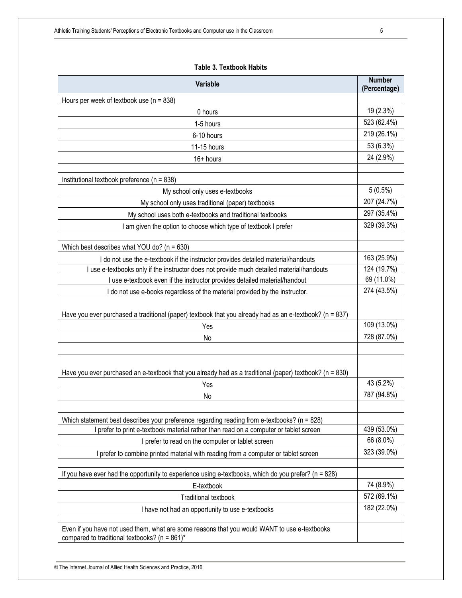| Variable                                                                                                                                          |                            |
|---------------------------------------------------------------------------------------------------------------------------------------------------|----------------------------|
| Hours per week of textbook use ( $n = 838$ )                                                                                                      |                            |
| 0 hours                                                                                                                                           |                            |
| 1-5 hours                                                                                                                                         |                            |
| 6-10 hours                                                                                                                                        |                            |
| 11-15 hours                                                                                                                                       |                            |
| $16+$ hours                                                                                                                                       |                            |
|                                                                                                                                                   |                            |
| Institutional textbook preference (n = 838)                                                                                                       |                            |
| My school only uses e-textbooks                                                                                                                   | $5(0.5\%)$                 |
| My school only uses traditional (paper) textbooks                                                                                                 | 207 (24.7%)                |
| My school uses both e-textbooks and traditional textbooks                                                                                         | 297 (35.4%)                |
| I am given the option to choose which type of textbook I prefer                                                                                   | 329 (39.3%)                |
|                                                                                                                                                   |                            |
| Which best describes what YOU do? ( $n = 630$ )                                                                                                   |                            |
| I do not use the e-textbook if the instructor provides detailed material/handouts                                                                 | 163 (25.9%)<br>124 (19.7%) |
| I use e-textbooks only if the instructor does not provide much detailed material/handouts                                                         |                            |
| I use e-textbook even if the instructor provides detailed material/handout                                                                        |                            |
| I do not use e-books regardless of the material provided by the instructor.                                                                       |                            |
| Have you ever purchased a traditional (paper) textbook that you already had as an e-textbook? (n = 837)                                           |                            |
| Yes                                                                                                                                               | 109 (13.0%)                |
| No                                                                                                                                                | 728 (87.0%)                |
|                                                                                                                                                   |                            |
| Have you ever purchased an e-textbook that you already had as a traditional (paper) textbook? (n = 830)                                           |                            |
| Yes                                                                                                                                               |                            |
| No                                                                                                                                                | 787 (94.8%)                |
|                                                                                                                                                   |                            |
| Which statement best describes your preference regarding reading from e-textbooks? (n = 828)                                                      |                            |
| I prefer to print e-textbook material rather than read on a computer or tablet screen                                                             | 439 (53.0%)                |
| I prefer to read on the computer or tablet screen                                                                                                 | 66 (8.0%)                  |
| I prefer to combine printed material with reading from a computer or tablet screen                                                                | 323 (39.0%)                |
|                                                                                                                                                   |                            |
| If you have ever had the opportunity to experience using e-textbooks, which do you prefer? (n = 828)                                              |                            |
| E-textbook                                                                                                                                        | 74 (8.9%)                  |
| <b>Traditional textbook</b>                                                                                                                       |                            |
| I have not had an opportunity to use e-textbooks                                                                                                  |                            |
|                                                                                                                                                   |                            |
| Even if you have not used them, what are some reasons that you would WANT to use e-textbooks<br>compared to traditional textbooks? ( $n = 861$ )* |                            |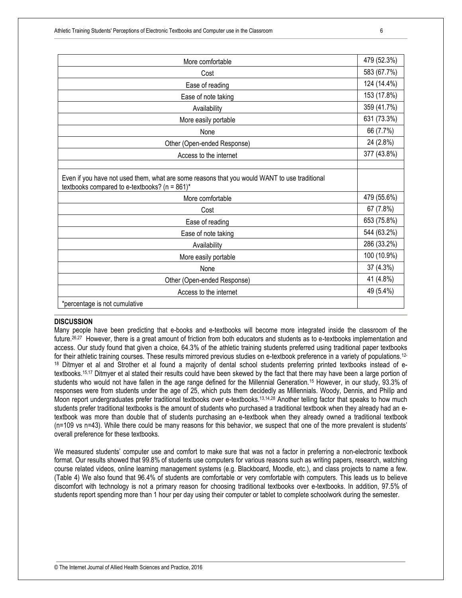| More comfortable                                                                                                                                  |             |
|---------------------------------------------------------------------------------------------------------------------------------------------------|-------------|
| Cost                                                                                                                                              |             |
| Ease of reading                                                                                                                                   |             |
| Ease of note taking                                                                                                                               |             |
| Availability                                                                                                                                      |             |
| More easily portable                                                                                                                              |             |
| None                                                                                                                                              | 66 (7.7%)   |
| Other (Open-ended Response)                                                                                                                       |             |
| Access to the internet                                                                                                                            | 377 (43.8%) |
|                                                                                                                                                   |             |
| Even if you have not used them, what are some reasons that you would WANT to use traditional<br>textbooks compared to e-textbooks? ( $n = 861$ )* |             |
| More comfortable                                                                                                                                  | 479 (55.6%) |
| Cost                                                                                                                                              |             |
| Ease of reading                                                                                                                                   |             |
| Ease of note taking                                                                                                                               |             |
| Availability                                                                                                                                      |             |
| More easily portable                                                                                                                              |             |
| None                                                                                                                                              |             |
| Other (Open-ended Response)                                                                                                                       |             |
| Access to the internet                                                                                                                            |             |
| *percentage is not cumulative                                                                                                                     |             |

#### **DISCUSSION**

Many people have been predicting that e-books and e-textbooks will become more integrated inside the classroom of the future.<sup>26,27</sup> However, there is a great amount of friction from both educators and students as to e-textbooks implementation and access. Our study found that given a choice, 64.3% of the athletic training students preferred using traditional paper textbooks for their athletic training courses. These results mirrored previous studies on e-textbook preference in a variety of populations.12- <sup>18</sup> Ditmyer et al and Strother et al found a majority of dental school students preferring printed textbooks instead of etextbooks.15,17 Ditmyer et al stated their results could have been skewed by the fact that there may have been a large portion of students who would not have fallen in the age range defined for the Millennial Generation.<sup>15</sup> However, in our study, 93.3% of responses were from students under the age of 25, which puts them decidedly as Millennials. Woody, Dennis, and Philip and Moon report undergraduates prefer traditional textbooks over e-textbooks.<sup>13,14,28</sup> Another telling factor that speaks to how much students prefer traditional textbooks is the amount of students who purchased a traditional textbook when they already had an etextbook was more than double that of students purchasing an e-textbook when they already owned a traditional textbook (n=109 vs n=43). While there could be many reasons for this behavior, we suspect that one of the more prevalent is students' overall preference for these textbooks.

We measured students' computer use and comfort to make sure that was not a factor in preferring a non-electronic textbook format. Our results showed that 99.8% of students use computers for various reasons such as writing papers, research, watching course related videos, online learning management systems (e.g. Blackboard, Moodle, etc.), and class projects to name a few. (Table 4) We also found that 96.4% of students are comfortable or very comfortable with computers. This leads us to believe discomfort with technology is not a primary reason for choosing traditional textbooks over e-textbooks. In addition, 97.5% of students report spending more than 1 hour per day using their computer or tablet to complete schoolwork during the semester.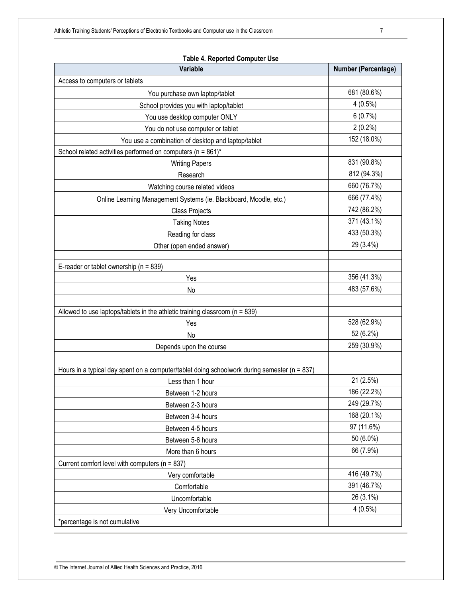| Variable<br><b>Number (Percentage)</b><br>Access to computers or tablets<br>681 (80.6%)<br>You purchase own laptop/tablet<br>$4(0.5\%)$<br>School provides you with laptop/tablet<br>6(0.7%)<br>You use desktop computer ONLY<br>$2(0.2\%)$<br>You do not use computer or tablet<br>152 (18.0%)<br>You use a combination of desktop and laptop/tablet<br>School related activities performed on computers (n = 861)*<br>831 (90.8%)<br><b>Writing Papers</b><br>812 (94.3%)<br>Research<br>660 (76.7%)<br>Watching course related videos<br>666 (77.4%)<br>Online Learning Management Systems (ie. Blackboard, Moodle, etc.)<br>742 (86.2%)<br>Class Projects<br>371 (43.1%)<br><b>Taking Notes</b><br>433 (50.3%)<br>Reading for class<br>29 (3.4%)<br>Other (open ended answer)<br>E-reader or tablet ownership ( $n = 839$ )<br>356 (41.3%)<br>Yes<br>483 (57.6%)<br>No<br>Allowed to use laptops/tablets in the athletic training classroom ( $n = 839$ )<br>528 (62.9%)<br>Yes<br>52 (6.2%)<br>No<br>259 (30.9%)<br>Depends upon the course<br>Hours in a typical day spent on a computer/tablet doing schoolwork during semester (n = 837)<br>21 (2.5%)<br>Less than 1 hour<br>186 (22.2%)<br>Between 1-2 hours<br>249 (29.7%)<br>Between 2-3 hours<br>168 (20.1%)<br>Between 3-4 hours<br>97 (11.6%)<br>Between 4-5 hours<br>50 (6.0%)<br>Between 5-6 hours<br>66 (7.9%)<br>More than 6 hours<br>Current comfort level with computers (n = 837)<br>416 (49.7%)<br>Very comfortable<br>391 (46.7%)<br>Comfortable<br>26 (3.1%)<br>Uncomfortable<br>$4(0.5\%)$<br>Very Uncomfortable | <b>Table 4. Reported Computer Use</b> |  |  |
|-------------------------------------------------------------------------------------------------------------------------------------------------------------------------------------------------------------------------------------------------------------------------------------------------------------------------------------------------------------------------------------------------------------------------------------------------------------------------------------------------------------------------------------------------------------------------------------------------------------------------------------------------------------------------------------------------------------------------------------------------------------------------------------------------------------------------------------------------------------------------------------------------------------------------------------------------------------------------------------------------------------------------------------------------------------------------------------------------------------------------------------------------------------------------------------------------------------------------------------------------------------------------------------------------------------------------------------------------------------------------------------------------------------------------------------------------------------------------------------------------------------------------------------------------------------------------------------------|---------------------------------------|--|--|
|                                                                                                                                                                                                                                                                                                                                                                                                                                                                                                                                                                                                                                                                                                                                                                                                                                                                                                                                                                                                                                                                                                                                                                                                                                                                                                                                                                                                                                                                                                                                                                                           |                                       |  |  |
|                                                                                                                                                                                                                                                                                                                                                                                                                                                                                                                                                                                                                                                                                                                                                                                                                                                                                                                                                                                                                                                                                                                                                                                                                                                                                                                                                                                                                                                                                                                                                                                           |                                       |  |  |
|                                                                                                                                                                                                                                                                                                                                                                                                                                                                                                                                                                                                                                                                                                                                                                                                                                                                                                                                                                                                                                                                                                                                                                                                                                                                                                                                                                                                                                                                                                                                                                                           |                                       |  |  |
|                                                                                                                                                                                                                                                                                                                                                                                                                                                                                                                                                                                                                                                                                                                                                                                                                                                                                                                                                                                                                                                                                                                                                                                                                                                                                                                                                                                                                                                                                                                                                                                           |                                       |  |  |
|                                                                                                                                                                                                                                                                                                                                                                                                                                                                                                                                                                                                                                                                                                                                                                                                                                                                                                                                                                                                                                                                                                                                                                                                                                                                                                                                                                                                                                                                                                                                                                                           |                                       |  |  |
|                                                                                                                                                                                                                                                                                                                                                                                                                                                                                                                                                                                                                                                                                                                                                                                                                                                                                                                                                                                                                                                                                                                                                                                                                                                                                                                                                                                                                                                                                                                                                                                           |                                       |  |  |
|                                                                                                                                                                                                                                                                                                                                                                                                                                                                                                                                                                                                                                                                                                                                                                                                                                                                                                                                                                                                                                                                                                                                                                                                                                                                                                                                                                                                                                                                                                                                                                                           |                                       |  |  |
|                                                                                                                                                                                                                                                                                                                                                                                                                                                                                                                                                                                                                                                                                                                                                                                                                                                                                                                                                                                                                                                                                                                                                                                                                                                                                                                                                                                                                                                                                                                                                                                           |                                       |  |  |
|                                                                                                                                                                                                                                                                                                                                                                                                                                                                                                                                                                                                                                                                                                                                                                                                                                                                                                                                                                                                                                                                                                                                                                                                                                                                                                                                                                                                                                                                                                                                                                                           |                                       |  |  |
|                                                                                                                                                                                                                                                                                                                                                                                                                                                                                                                                                                                                                                                                                                                                                                                                                                                                                                                                                                                                                                                                                                                                                                                                                                                                                                                                                                                                                                                                                                                                                                                           |                                       |  |  |
|                                                                                                                                                                                                                                                                                                                                                                                                                                                                                                                                                                                                                                                                                                                                                                                                                                                                                                                                                                                                                                                                                                                                                                                                                                                                                                                                                                                                                                                                                                                                                                                           |                                       |  |  |
|                                                                                                                                                                                                                                                                                                                                                                                                                                                                                                                                                                                                                                                                                                                                                                                                                                                                                                                                                                                                                                                                                                                                                                                                                                                                                                                                                                                                                                                                                                                                                                                           |                                       |  |  |
|                                                                                                                                                                                                                                                                                                                                                                                                                                                                                                                                                                                                                                                                                                                                                                                                                                                                                                                                                                                                                                                                                                                                                                                                                                                                                                                                                                                                                                                                                                                                                                                           |                                       |  |  |
|                                                                                                                                                                                                                                                                                                                                                                                                                                                                                                                                                                                                                                                                                                                                                                                                                                                                                                                                                                                                                                                                                                                                                                                                                                                                                                                                                                                                                                                                                                                                                                                           |                                       |  |  |
|                                                                                                                                                                                                                                                                                                                                                                                                                                                                                                                                                                                                                                                                                                                                                                                                                                                                                                                                                                                                                                                                                                                                                                                                                                                                                                                                                                                                                                                                                                                                                                                           |                                       |  |  |
|                                                                                                                                                                                                                                                                                                                                                                                                                                                                                                                                                                                                                                                                                                                                                                                                                                                                                                                                                                                                                                                                                                                                                                                                                                                                                                                                                                                                                                                                                                                                                                                           |                                       |  |  |
|                                                                                                                                                                                                                                                                                                                                                                                                                                                                                                                                                                                                                                                                                                                                                                                                                                                                                                                                                                                                                                                                                                                                                                                                                                                                                                                                                                                                                                                                                                                                                                                           |                                       |  |  |
|                                                                                                                                                                                                                                                                                                                                                                                                                                                                                                                                                                                                                                                                                                                                                                                                                                                                                                                                                                                                                                                                                                                                                                                                                                                                                                                                                                                                                                                                                                                                                                                           |                                       |  |  |
|                                                                                                                                                                                                                                                                                                                                                                                                                                                                                                                                                                                                                                                                                                                                                                                                                                                                                                                                                                                                                                                                                                                                                                                                                                                                                                                                                                                                                                                                                                                                                                                           |                                       |  |  |
|                                                                                                                                                                                                                                                                                                                                                                                                                                                                                                                                                                                                                                                                                                                                                                                                                                                                                                                                                                                                                                                                                                                                                                                                                                                                                                                                                                                                                                                                                                                                                                                           |                                       |  |  |
|                                                                                                                                                                                                                                                                                                                                                                                                                                                                                                                                                                                                                                                                                                                                                                                                                                                                                                                                                                                                                                                                                                                                                                                                                                                                                                                                                                                                                                                                                                                                                                                           |                                       |  |  |
|                                                                                                                                                                                                                                                                                                                                                                                                                                                                                                                                                                                                                                                                                                                                                                                                                                                                                                                                                                                                                                                                                                                                                                                                                                                                                                                                                                                                                                                                                                                                                                                           |                                       |  |  |
|                                                                                                                                                                                                                                                                                                                                                                                                                                                                                                                                                                                                                                                                                                                                                                                                                                                                                                                                                                                                                                                                                                                                                                                                                                                                                                                                                                                                                                                                                                                                                                                           |                                       |  |  |
|                                                                                                                                                                                                                                                                                                                                                                                                                                                                                                                                                                                                                                                                                                                                                                                                                                                                                                                                                                                                                                                                                                                                                                                                                                                                                                                                                                                                                                                                                                                                                                                           |                                       |  |  |
|                                                                                                                                                                                                                                                                                                                                                                                                                                                                                                                                                                                                                                                                                                                                                                                                                                                                                                                                                                                                                                                                                                                                                                                                                                                                                                                                                                                                                                                                                                                                                                                           |                                       |  |  |
|                                                                                                                                                                                                                                                                                                                                                                                                                                                                                                                                                                                                                                                                                                                                                                                                                                                                                                                                                                                                                                                                                                                                                                                                                                                                                                                                                                                                                                                                                                                                                                                           |                                       |  |  |
|                                                                                                                                                                                                                                                                                                                                                                                                                                                                                                                                                                                                                                                                                                                                                                                                                                                                                                                                                                                                                                                                                                                                                                                                                                                                                                                                                                                                                                                                                                                                                                                           |                                       |  |  |
|                                                                                                                                                                                                                                                                                                                                                                                                                                                                                                                                                                                                                                                                                                                                                                                                                                                                                                                                                                                                                                                                                                                                                                                                                                                                                                                                                                                                                                                                                                                                                                                           |                                       |  |  |
|                                                                                                                                                                                                                                                                                                                                                                                                                                                                                                                                                                                                                                                                                                                                                                                                                                                                                                                                                                                                                                                                                                                                                                                                                                                                                                                                                                                                                                                                                                                                                                                           |                                       |  |  |
|                                                                                                                                                                                                                                                                                                                                                                                                                                                                                                                                                                                                                                                                                                                                                                                                                                                                                                                                                                                                                                                                                                                                                                                                                                                                                                                                                                                                                                                                                                                                                                                           |                                       |  |  |
|                                                                                                                                                                                                                                                                                                                                                                                                                                                                                                                                                                                                                                                                                                                                                                                                                                                                                                                                                                                                                                                                                                                                                                                                                                                                                                                                                                                                                                                                                                                                                                                           |                                       |  |  |
|                                                                                                                                                                                                                                                                                                                                                                                                                                                                                                                                                                                                                                                                                                                                                                                                                                                                                                                                                                                                                                                                                                                                                                                                                                                                                                                                                                                                                                                                                                                                                                                           |                                       |  |  |
|                                                                                                                                                                                                                                                                                                                                                                                                                                                                                                                                                                                                                                                                                                                                                                                                                                                                                                                                                                                                                                                                                                                                                                                                                                                                                                                                                                                                                                                                                                                                                                                           |                                       |  |  |
|                                                                                                                                                                                                                                                                                                                                                                                                                                                                                                                                                                                                                                                                                                                                                                                                                                                                                                                                                                                                                                                                                                                                                                                                                                                                                                                                                                                                                                                                                                                                                                                           |                                       |  |  |
|                                                                                                                                                                                                                                                                                                                                                                                                                                                                                                                                                                                                                                                                                                                                                                                                                                                                                                                                                                                                                                                                                                                                                                                                                                                                                                                                                                                                                                                                                                                                                                                           |                                       |  |  |
|                                                                                                                                                                                                                                                                                                                                                                                                                                                                                                                                                                                                                                                                                                                                                                                                                                                                                                                                                                                                                                                                                                                                                                                                                                                                                                                                                                                                                                                                                                                                                                                           |                                       |  |  |
|                                                                                                                                                                                                                                                                                                                                                                                                                                                                                                                                                                                                                                                                                                                                                                                                                                                                                                                                                                                                                                                                                                                                                                                                                                                                                                                                                                                                                                                                                                                                                                                           |                                       |  |  |
|                                                                                                                                                                                                                                                                                                                                                                                                                                                                                                                                                                                                                                                                                                                                                                                                                                                                                                                                                                                                                                                                                                                                                                                                                                                                                                                                                                                                                                                                                                                                                                                           |                                       |  |  |
|                                                                                                                                                                                                                                                                                                                                                                                                                                                                                                                                                                                                                                                                                                                                                                                                                                                                                                                                                                                                                                                                                                                                                                                                                                                                                                                                                                                                                                                                                                                                                                                           | *percentage is not cumulative         |  |  |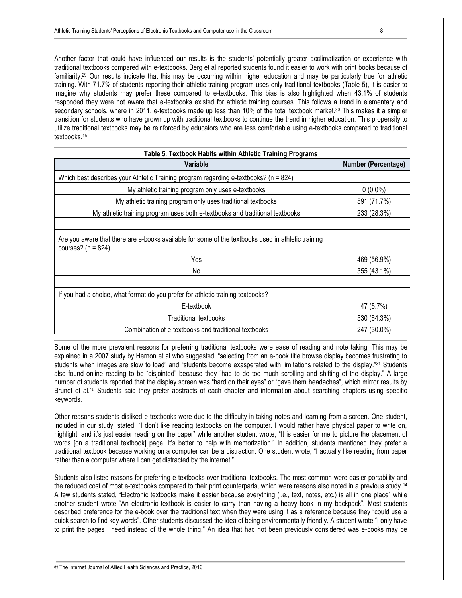Another factor that could have influenced our results is the students' potentially greater acclimatization or experience with traditional textbooks compared with e-textbooks. Berg et al reported students found it easier to work with print books because of familiarity.<sup>29</sup> Our results indicate that this may be occurring within higher education and may be particularly true for athletic training. With 71.7% of students reporting their athletic training program uses only traditional textbooks (Table 5), it is easier to imagine why students may prefer these compared to e-textbooks. This bias is also highlighted when 43.1% of students responded they were not aware that e-textbooks existed for athletic training courses. This follows a trend in elementary and secondary schools, where in 2011, e-textbooks made up less than 10% of the total textbook market.<sup>30</sup> This makes it a simpler transition for students who have grown up with traditional textbooks to continue the trend in higher education. This propensity to utilize traditional textbooks may be reinforced by educators who are less comfortable using e-textbooks compared to traditional textbooks.<sup>15</sup>

| <b>Variable</b>                                                                                                              | <b>Number (Percentage)</b> |
|------------------------------------------------------------------------------------------------------------------------------|----------------------------|
| Which best describes your Athletic Training program regarding e-textbooks? ( $n = 824$ )                                     |                            |
| My athletic training program only uses e-textbooks                                                                           | $0(0.0\%)$                 |
| My athletic training program only uses traditional textbooks                                                                 | 591 (71.7%)                |
| My athletic training program uses both e-textbooks and traditional textbooks                                                 | 233 (28.3%)                |
|                                                                                                                              |                            |
| Are you aware that there are e-books available for some of the textbooks used in athletic training<br>courses? ( $n = 824$ ) |                            |
| Yes                                                                                                                          | 469 (56.9%)                |
| No                                                                                                                           | 355 (43.1%)                |
|                                                                                                                              |                            |
| If you had a choice, what format do you prefer for athletic training textbooks?                                              |                            |
| E-textbook                                                                                                                   | 47 (5.7%)                  |
| Traditional textbooks                                                                                                        | 530 (64.3%)                |
| Combination of e-textbooks and traditional textbooks                                                                         | 247 (30.0%)                |

Some of the more prevalent reasons for preferring traditional textbooks were ease of reading and note taking. This may be explained in a 2007 study by Hernon et al who suggested, "selecting from an e-book title browse display becomes frustrating to students when images are slow to load" and "students become exasperated with limitations related to the display."31 Students also found online reading to be "disjointed" because they "had to do too much scrolling and shifting of the display." A large number of students reported that the display screen was "hard on their eyes" or "gave them headaches", which mirror results by Brunet et al.<sup>16</sup> Students said they prefer abstracts of each chapter and information about searching chapters using specific keywords.

Other reasons students disliked e-textbooks were due to the difficulty in taking notes and learning from a screen. One student, included in our study, stated, "I don't like reading textbooks on the computer. I would rather have physical paper to write on, highlight, and it's just easier reading on the paper" while another student wrote, "It is easier for me to picture the placement of words [on a traditional textbook] page. It's better to help with memorization." In addition, students mentioned they prefer a traditional textbook because working on a computer can be a distraction. One student wrote, "I actually like reading from paper rather than a computer where I can get distracted by the internet."

Students also listed reasons for preferring e-textbooks over traditional textbooks. The most common were easier portability and the reduced cost of most e-textbooks compared to their print counterparts, which were reasons also noted in a previous study.<sup>14</sup> A few students stated, "Electronic textbooks make it easier because everything (i.e., text, notes, etc.) is all in one place" while another student wrote "An electronic textbook is easier to carry than having a heavy book in my backpack". Most students described preference for the e-book over the traditional text when they were using it as a reference because they "could use a quick search to find key words". Other students discussed the idea of being environmentally friendly. A student wrote "I only have to print the pages I need instead of the whole thing." An idea that had not been previously considered was e-books may be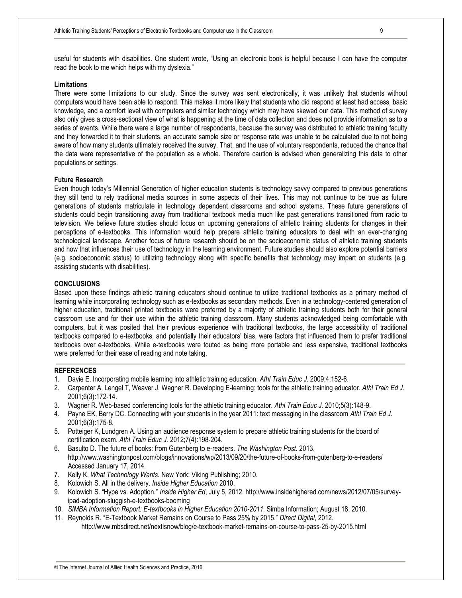useful for students with disabilities. One student wrote, "Using an electronic book is helpful because I can have the computer read the book to me which helps with my dyslexia."

#### **Limitations**

There were some limitations to our study. Since the survey was sent electronically, it was unlikely that students without computers would have been able to respond. This makes it more likely that students who did respond at least had access, basic knowledge, and a comfort level with computers and similar technology which may have skewed our data. This method of survey also only gives a cross-sectional view of what is happening at the time of data collection and does not provide information as to a series of events. While there were a large number of respondents, because the survey was distributed to athletic training faculty and they forwarded it to their students, an accurate sample size or response rate was unable to be calculated due to not being aware of how many students ultimately received the survey. That, and the use of voluntary respondents, reduced the chance that the data were representative of the population as a whole. Therefore caution is advised when generalizing this data to other populations or settings.

#### **Future Research**

Even though today's Millennial Generation of higher education students is technology savvy compared to previous generations they still tend to rely traditional media sources in some aspects of their lives. This may not continue to be true as future generations of students matriculate in technology dependent classrooms and school systems. These future generations of students could begin transitioning away from traditional textbook media much like past generations transitioned from radio to television. We believe future studies should focus on upcoming generations of athletic training students for changes in their perceptions of e-textbooks. This information would help prepare athletic training educators to deal with an ever-changing technological landscape. Another focus of future research should be on the socioeconomic status of athletic training students and how that influences their use of technology in the learning environment. Future studies should also explore potential barriers (e.g. socioeconomic status) to utilizing technology along with specific benefits that technology may impart on students (e.g. assisting students with disabilities).

#### **CONCLUSIONS**

Based upon these findings athletic training educators should continue to utilize traditional textbooks as a primary method of learning while incorporating technology such as e-textbooks as secondary methods. Even in a technology-centered generation of higher education, traditional printed textbooks were preferred by a majority of athletic training students both for their general classroom use and for their use within the athletic training classroom. Many students acknowledged being comfortable with computers, but it was posited that their previous experience with traditional textbooks, the large accessibility of traditional textbooks compared to e-textbooks, and potentially their educators' bias, were factors that influenced them to prefer traditional textbooks over e-textbooks. While e-textbooks were touted as being more portable and less expensive, traditional textbooks were preferred for their ease of reading and note taking.

#### **REFERENCES**

- 1. Davie E. Incorporating mobile learning into athletic training education. *Athl Train Educ J.* 2009;4:152-6.
- 2. Carpenter A, Lengel T, Weaver J, Wagner R. Developing E-learning: tools for the athletic training educator. *Athl Train Ed J.*  2001;6(3):172-14.
- 3. Wagner R. Web-based conferencing tools for the athletic training educator. *Athl Train Educ J.* 2010;5(3):148-9.
- 4. Payne EK, Berry DC. Connecting with your students in the year 2011: text messaging in the classroom *Athl Train Ed J.*  2001;6(3):175-8.
- 5. Potteiger K, Lundgren A. Using an audience response system to prepare athletic training students for the board of certification exam. *Athl Train Educ J.* 2012;7(4):198-204.
- 6. Basulto D. The future of books: from Gutenberg to e-readers. *The Washington Post.* 2013. http://www.washingtonpost.com/blogs/innovations/wp/2013/09/20/the-future-of-books-from-gutenberg-to-e-readers/ Accessed January 17, 2014.
- 7. Kelly K. *What Technology Wants.* New York: Viking Publishing; 2010.
- 8. Kolowich S. All in the delivery. *Inside Higher Education* 2010.
- 9. Kolowich S. "Hype vs. Adoption." *Inside Higher Ed*, July 5, 2012. http://www.insidehighered.com/news/2012/07/05/surveyipad-adoption-sluggish-e-textbooks-booming
- 10. *SIMBA Information Report: E-textbooks in Higher Education 2010-2011.* Simba Information; August 18, 2010.
- 11. Reynolds R. "E-Textbook Market Remains on Course to Pass 25% by 2015." *Direct Digital*, 2012. http://www.mbsdirect.net/nextisnow/blog/e-textbook-market-remains-on-course-to-pass-25-by-2015.html